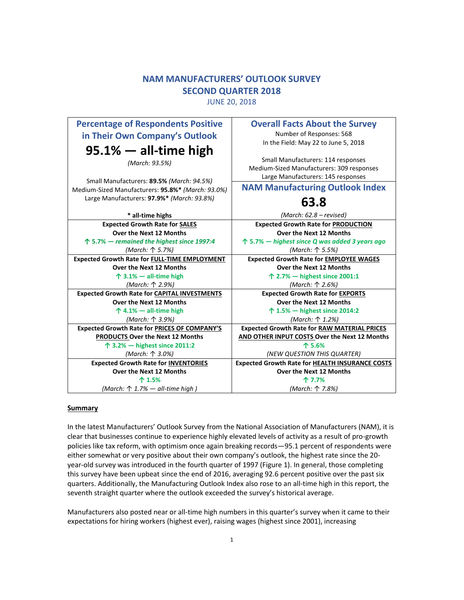# **NAM MANUFACTURERS' OUTLOOK SURVEY SECOND QUARTER 2018**

JUNE 20, 2018

| <b>Percentage of Respondents Positive</b><br>in Their Own Company's Outlook                    | <b>Overall Facts About the Survey</b><br>Number of Responses: 568<br>In the Field: May 22 to June 5, 2018             |
|------------------------------------------------------------------------------------------------|-----------------------------------------------------------------------------------------------------------------------|
| $95.1%$ — all-time high<br>(March: 93.5%)                                                      | Small Manufacturers: 114 responses<br>Medium-Sized Manufacturers: 309 responses<br>Large Manufacturers: 145 responses |
| Small Manufacturers: 89.5% (March: 94.5%)<br>Medium-Sized Manufacturers: 95.8%* (March: 93.0%) | <b>NAM Manufacturing Outlook Index</b>                                                                                |
| Large Manufacturers: 97.9%* (March: 93.8%)                                                     | 63.8                                                                                                                  |
| * all-time highs                                                                               | (March: 62.8 – revised)                                                                                               |
| <b>Expected Growth Rate for SALES</b>                                                          | <b>Expected Growth Rate for PRODUCTION</b>                                                                            |
| Over the Next 12 Months                                                                        | Over the Next 12 Months                                                                                               |
| $\uparrow$ 5.7% — remained the highest since 1997:4                                            | $\uparrow$ 5.7% — highest since Q was added 3 years ago                                                               |
| (March: 个 5.7%)                                                                                | (March: ↑ 5.5%)                                                                                                       |
| <b>Expected Growth Rate for FULL-TIME EMPLOYMENT</b>                                           | <b>Expected Growth Rate for EMPLOYEE WAGES</b>                                                                        |
| <b>Over the Next 12 Months</b>                                                                 | Over the Next 12 Months                                                                                               |
| $\uparrow$ 3.1% - all-time high                                                                | ↑ 2.7% $-$ highest since 2001:1                                                                                       |
| (March: 个 2.9%)                                                                                | (March: 个 2.6%)                                                                                                       |
| <b>Expected Growth Rate for CAPITAL INVESTMENTS</b>                                            | <b>Expected Growth Rate for EXPORTS</b>                                                                               |
| <b>Over the Next 12 Months</b>                                                                 | Over the Next 12 Months                                                                                               |
| $\uparrow$ 4.1% - all-time high                                                                | 个 1.5% — highest since 2014:2                                                                                         |
| (March: ↑ 3.9%)                                                                                | (March: ↑ 1.2%)                                                                                                       |
| <b>Expected Growth Rate for PRICES OF COMPANY'S</b>                                            | <b>Expected Growth Rate for RAW MATERIAL PRICES</b>                                                                   |
| PRODUCTS Over the Next 12 Months                                                               | AND OTHER INPUT COSTS Over the Next 12 Months                                                                         |
| $\uparrow$ 3.2% $-$ highest since 2011:2                                                       | 个 5.6%                                                                                                                |
| (March: 个 3.0%)                                                                                | (NEW QUESTION THIS QUARTER)                                                                                           |
| <b>Expected Growth Rate for INVENTORIES</b><br>Over the Next 12 Months                         | <b>Expected Growth Rate for HEALTH INSURANCE COSTS</b><br>Over the Next 12 Months                                     |
| 个 1.5%                                                                                         | 个 7.7%                                                                                                                |
| (March: $\uparrow$ 1.7% – all-time high)                                                       | (March: 个 7.8%)                                                                                                       |
|                                                                                                |                                                                                                                       |

# **Summary**

In the latest Manufacturers' Outlook Survey from the National Association of Manufacturers (NAM), it is clear that businesses continue to experience highly elevated levels of activity as a result of pro-growth policies like tax reform, with optimism once again breaking records—95.1 percent of respondents were either somewhat or very positive about their own company's outlook, the highest rate since the 20 year-old survey was introduced in the fourth quarter of 1997 (Figure 1). In general, those completing this survey have been upbeat since the end of 2016, averaging 92.6 percent positive over the past six quarters. Additionally, the Manufacturing Outlook Index also rose to an all-time high in this report, the seventh straight quarter where the outlook exceeded the survey's historical average.

Manufacturers also posted near or all-time high numbers in this quarter's survey when it came to their expectations for hiring workers (highest ever), raising wages (highest since 2001), increasing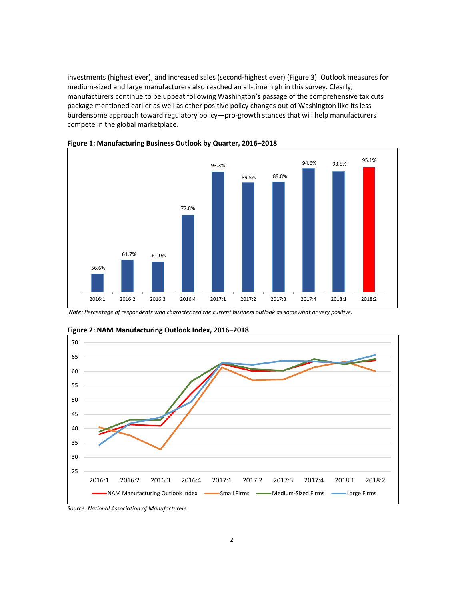investments (highest ever), and increased sales (second-highest ever) (Figure 3). Outlook measures for medium-sized and large manufacturers also reached an all-time high in this survey. Clearly, manufacturers continue to be upbeat following Washington's passage of the comprehensive tax cuts package mentioned earlier as well as other positive policy changes out of Washington like its lessburdensome approach toward regulatory policy—pro-growth stances that will help manufacturers compete in the global marketplace.





 *Note: Percentage of respondents who characterized the current business outlook as somewhat or very positive.* 



**Figure 2: NAM Manufacturing Outlook Index, 2016–2018** 

*Source: National Association of Manufacturers*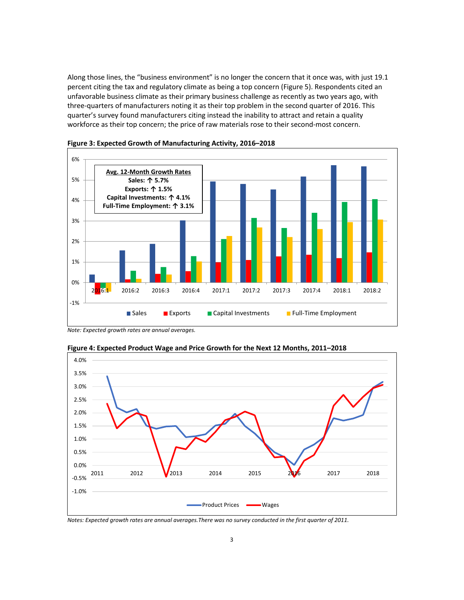Along those lines, the "business environment" is no longer the concern that it once was, with just 19.1 percent citing the tax and regulatory climate as being a top concern (Figure 5). Respondents cited an unfavorable business climate as their primary business challenge as recently as two years ago, with three-quarters of manufacturers noting it as their top problem in the second quarter of 2016. This quarter's survey found manufacturers citing instead the inability to attract and retain a quality workforce as their top concern; the price of raw materials rose to their second-most concern.





*Note: Expected growth rates are annual averages.* 



**Figure 4: Expected Product Wage and Price Growth for the Next 12 Months, 2011–2018**

*Notes: Expected growth rates are annual averages.There was no survey conducted in the first quarter of 2011.*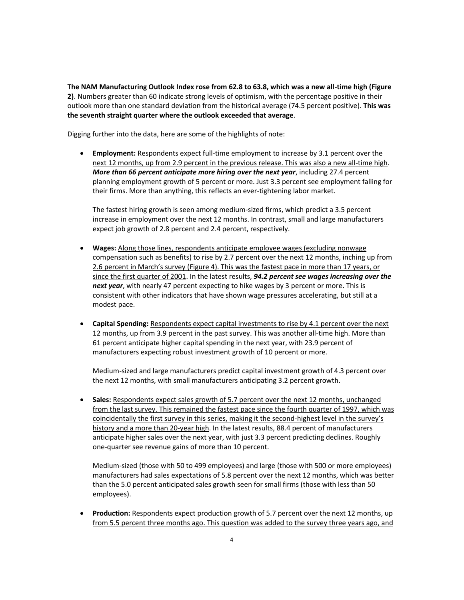**The NAM Manufacturing Outlook Index rose from 62.8 to 63.8, which was a new all-time high (Figure 2)**. Numbers greater than 60 indicate strong levels of optimism, with the percentage positive in their outlook more than one standard deviation from the historical average (74.5 percent positive). **This was the seventh straight quarter where the outlook exceeded that average**.

Digging further into the data, here are some of the highlights of note:

**Employment:** Respondents expect full-time employment to increase by 3.1 percent over the next 12 months, up from 2.9 percent in the previous release. This was also a new all-time high. *More than 66 percent anticipate more hiring over the next year*, including 27.4 percent planning employment growth of 5 percent or more. Just 3.3 percent see employment falling for their firms. More than anything, this reflects an ever-tightening labor market.

The fastest hiring growth is seen among medium-sized firms, which predict a 3.5 percent increase in employment over the next 12 months. In contrast, small and large manufacturers expect job growth of 2.8 percent and 2.4 percent, respectively.

- x **Wages:** Along those lines, respondents anticipate employee wages (excluding nonwage compensation such as benefits) to rise by 2.7 percent over the next 12 months, inching up from 2.6 percent in March's survey (Figure 4). This was the fastest pace in more than 17 years, or since the first quarter of 2001. In the latest results, *94.2 percent see wages increasing over the next year*, with nearly 47 percent expecting to hike wages by 3 percent or more. This is consistent with other indicators that have shown wage pressures accelerating, but still at a modest pace.
- **Capital Spending:** Respondents expect capital investments to rise by 4.1 percent over the next 12 months, up from 3.9 percent in the past survey. This was another all-time high. More than 61 percent anticipate higher capital spending in the next year, with 23.9 percent of manufacturers expecting robust investment growth of 10 percent or more.

Medium-sized and large manufacturers predict capital investment growth of 4.3 percent over the next 12 months, with small manufacturers anticipating 3.2 percent growth.

• Sales: Respondents expect sales growth of 5.7 percent over the next 12 months, unchanged from the last survey. This remained the fastest pace since the fourth quarter of 1997, which was coincidentally the first survey in this series, making it the second-highest level in the survey's history and a more than 20-year high. In the latest results, 88.4 percent of manufacturers anticipate higher sales over the next year, with just 3.3 percent predicting declines. Roughly one-quarter see revenue gains of more than 10 percent.

Medium-sized (those with 50 to 499 employees) and large (those with 500 or more employees) manufacturers had sales expectations of 5.8 percent over the next 12 months, which was better than the 5.0 percent anticipated sales growth seen for small firms (those with less than 50 employees).

• **Production:** Respondents expect production growth of 5.7 percent over the next 12 months, up from 5.5 percent three months ago. This question was added to the survey three years ago, and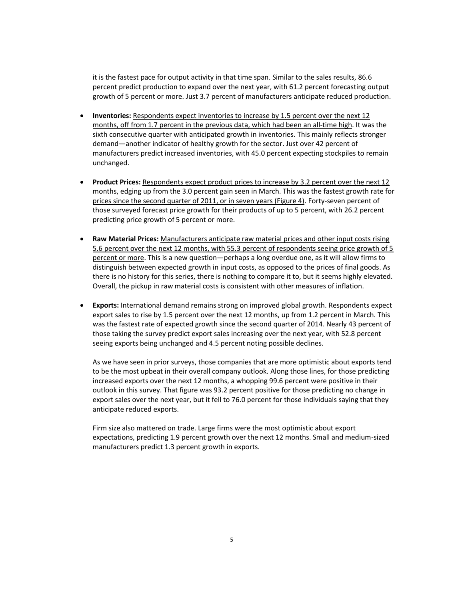it is the fastest pace for output activity in that time span. Similar to the sales results, 86.6 percent predict production to expand over the next year, with 61.2 percent forecasting output growth of 5 percent or more. Just 3.7 percent of manufacturers anticipate reduced production.

- **Inventories:** Respondents expect inventories to increase by 1.5 percent over the next 12 months, off from 1.7 percent in the previous data, which had been an all-time high. It was the sixth consecutive quarter with anticipated growth in inventories. This mainly reflects stronger demand—another indicator of healthy growth for the sector. Just over 42 percent of manufacturers predict increased inventories, with 45.0 percent expecting stockpiles to remain unchanged.
- Product Prices: Respondents expect product prices to increase by 3.2 percent over the next 12 months, edging up from the 3.0 percent gain seen in March. This was the fastest growth rate for prices since the second quarter of 2011, or in seven years (Figure 4). Forty-seven percent of those surveyed forecast price growth for their products of up to 5 percent, with 26.2 percent predicting price growth of 5 percent or more.
- **Raw Material Prices: Manufacturers anticipate raw material prices and other input costs rising** 5.6 percent over the next 12 months, with 55.3 percent of respondents seeing price growth of 5 percent or more. This is a new question—perhaps a long overdue one, as it will allow firms to distinguish between expected growth in input costs, as opposed to the prices of final goods. As there is no history for this series, there is nothing to compare it to, but it seems highly elevated. Overall, the pickup in raw material costs is consistent with other measures of inflation.
- **Exports:** International demand remains strong on improved global growth. Respondents expect export sales to rise by 1.5 percent over the next 12 months, up from 1.2 percent in March. This was the fastest rate of expected growth since the second quarter of 2014. Nearly 43 percent of those taking the survey predict export sales increasing over the next year, with 52.8 percent seeing exports being unchanged and 4.5 percent noting possible declines.

As we have seen in prior surveys, those companies that are more optimistic about exports tend to be the most upbeat in their overall company outlook. Along those lines, for those predicting increased exports over the next 12 months, a whopping 99.6 percent were positive in their outlook in this survey. That figure was 93.2 percent positive for those predicting no change in export sales over the next year, but it fell to 76.0 percent for those individuals saying that they anticipate reduced exports.

Firm size also mattered on trade. Large firms were the most optimistic about export expectations, predicting 1.9 percent growth over the next 12 months. Small and medium-sized manufacturers predict 1.3 percent growth in exports.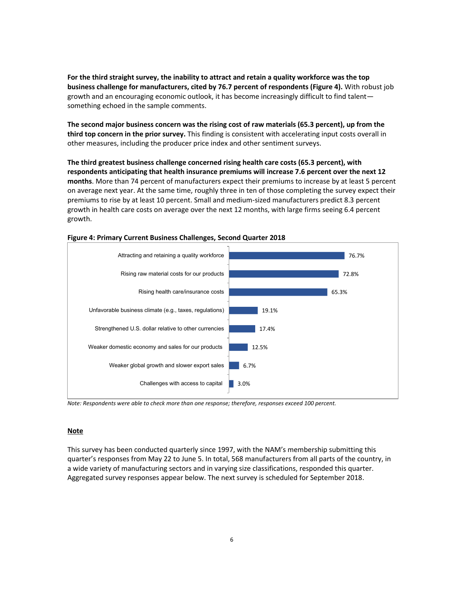**For the third straight survey, the inability to attract and retain a quality workforce was the top business challenge for manufacturers, cited by 76.7 percent of respondents (Figure 4).** With robust job growth and an encouraging economic outlook, it has become increasingly difficult to find talent something echoed in the sample comments.

**The second major business concern was the rising cost of raw materials (65.3 percent), up from the third top concern in the prior survey.** This finding is consistent with accelerating input costs overall in other measures, including the producer price index and other sentiment surveys.

**The third greatest business challenge concerned rising health care costs (65.3 percent), with respondents anticipating that health insurance premiums will increase 7.6 percent over the next 12 months**. More than 74 percent of manufacturers expect their premiums to increase by at least 5 percent on average next year. At the same time, roughly three in ten of those completing the survey expect their premiums to rise by at least 10 percent. Small and medium-sized manufacturers predict 8.3 percent growth in health care costs on average over the next 12 months, with large firms seeing 6.4 percent growth.



# **Figure 4: Primary Current Business Challenges, Second Quarter 2018**

*Note: Respondents were able to check more than one response; therefore, responses exceed 100 percent.* 

## **Note**

This survey has been conducted quarterly since 1997, with the NAM's membership submitting this quarter's responses from May 22 to June 5. In total, 568 manufacturers from all parts of the country, in a wide variety of manufacturing sectors and in varying size classifications, responded this quarter. Aggregated survey responses appear below. The next survey is scheduled for September 2018.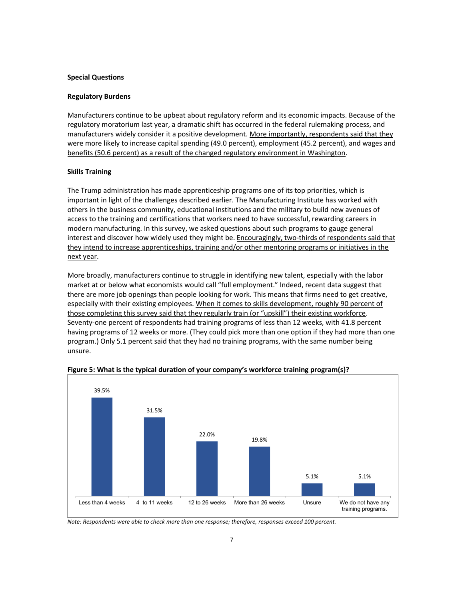# **Special Questions**

### **Regulatory Burdens**

Manufacturers continue to be upbeat about regulatory reform and its economic impacts. Because of the regulatory moratorium last year, a dramatic shift has occurred in the federal rulemaking process, and manufacturers widely consider it a positive development. More importantly, respondents said that they were more likely to increase capital spending (49.0 percent), employment (45.2 percent), and wages and benefits (50.6 percent) as a result of the changed regulatory environment in Washington.

### **Skills Training**

The Trump administration has made apprenticeship programs one of its top priorities, which is important in light of the challenges described earlier. The Manufacturing Institute has worked with others in the business community, educational institutions and the military to build new avenues of access to the training and certifications that workers need to have successful, rewarding careers in modern manufacturing. In this survey, we asked questions about such programs to gauge general interest and discover how widely used they might be. Encouragingly, two-thirds of respondents said that they intend to increase apprenticeships, training and/or other mentoring programs or initiatives in the next year.

More broadly, manufacturers continue to struggle in identifying new talent, especially with the labor market at or below what economists would call "full employment." Indeed, recent data suggest that there are more job openings than people looking for work. This means that firms need to get creative, especially with their existing employees. When it comes to skills development, roughly 90 percent of those completing this survey said that they regularly train (or "upskill") their existing workforce. Seventy-one percent of respondents had training programs of less than 12 weeks, with 41.8 percent having programs of 12 weeks or more. (They could pick more than one option if they had more than one program.) Only 5.1 percent said that they had no training programs, with the same number being unsure.



**Figure 5: What is the typical duration of your company's workforce training program(s)?** 

*Note: Respondents were able to check more than one response; therefore, responses exceed 100 percent.*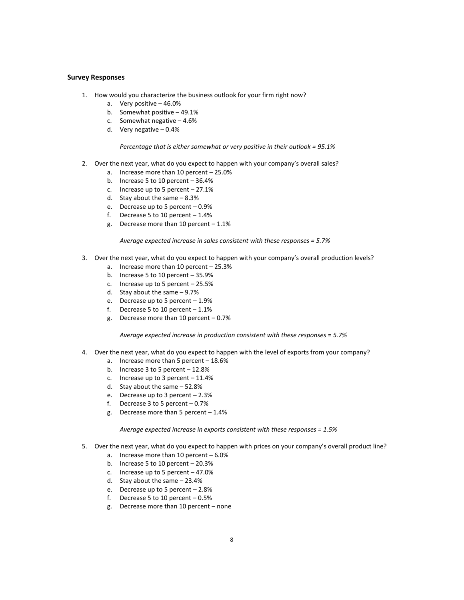#### **Survey Responses**

- 1. How would you characterize the business outlook for your firm right now?
	- a. Very positive 46.0%
	- b. Somewhat positive 49.1%
	- c. Somewhat negative 4.6%
	- d. Very negative 0.4%

#### *Percentage that is either somewhat or very positive in their outlook = 95.1%*

- 2. Over the next year, what do you expect to happen with your company's overall sales?
	- a. Increase more than 10 percent 25.0%
	- b. Increase 5 to 10 percent 36.4%
	- c. Increase up to 5 percent 27.1%
	- d. Stay about the same 8.3%
	- e. Decrease up to 5 percent 0.9%
	- f. Decrease 5 to 10 percent  $-1.4%$
	- g. Decrease more than 10 percent 1.1%

*Average expected increase in sales consistent with these responses = 5.7%* 

- 3. Over the next year, what do you expect to happen with your company's overall production levels?
	- a. Increase more than 10 percent 25.3%
	- b. Increase 5 to 10 percent 35.9%
	- c. Increase up to 5 percent 25.5%
	- d. Stay about the same 9.7%
	- e. Decrease up to 5 percent 1.9%
	- f. Decrease 5 to 10 percent 1.1%
	- g. Decrease more than 10 percent 0.7%

*Average expected increase in production consistent with these responses = 5.7%* 

- 4. Over the next year, what do you expect to happen with the level of exports from your company?
	- a. Increase more than 5 percent 18.6%
	- b. Increase 3 to 5 percent 12.8%
	- c. Increase up to 3 percent  $-11.4%$
	- d. Stay about the same 52.8%
	- e. Decrease up to 3 percent 2.3%
	- f. Decrease 3 to 5 percent 0.7%
	- g. Decrease more than 5 percent 1.4%

*Average expected increase in exports consistent with these responses = 1.5%* 

- 5. Over the next year, what do you expect to happen with prices on your company's overall product line?
	- a. Increase more than 10 percent 6.0%
	- b. Increase 5 to 10 percent 20.3%
	- c. Increase up to 5 percent 47.0%
	- d. Stay about the same 23.4%
	- e. Decrease up to 5 percent 2.8%
	- f. Decrease 5 to 10 percent 0.5%
	- g. Decrease more than 10 percent none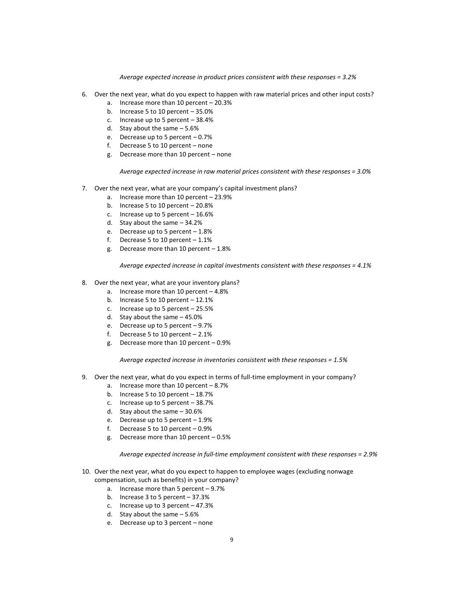*Average expected increase in product prices consistent with these responses = 3.2%* 

- 6. Over the next year, what do you expect to happen with raw material prices and other input costs?
	- a. Increase more than 10 percent 20.3%
	- b. Increase 5 to 10 percent 35.0%
	- c. Increase up to 5 percent 38.4%
	- d. Stay about the same 5.6%
	- e. Decrease up to 5 percent 0.7%
	- f. Decrease 5 to 10 percent none
	- g. Decrease more than 10 percent none

*Average expected increase in raw material prices consistent with these responses = 3.0%* 

- 7. Over the next year, what are your company's capital investment plans?
	- a. Increase more than 10 percent 23.9%
	- b. Increase 5 to 10 percent 20.8%
	- c. Increase up to 5 percent  $-16.6%$
	- d. Stay about the same 34.2%
	- e. Decrease up to 5 percent 1.8%
	- f. Decrease 5 to 10 percent  $-1.1\%$
	- g. Decrease more than 10 percent 1.8%

*Average expected increase in capital investments consistent with these responses = 4.1%* 

- 8. Over the next year, what are your inventory plans?
	- a. Increase more than 10 percent 4.8%
	- b. Increase 5 to 10 percent 12.1%
	- c. Increase up to 5 percent 25.5%
	- d. Stay about the same 45.0%
	- e. Decrease up to 5 percent 9.7%
	- f. Decrease 5 to 10 percent 2.1%
	- g. Decrease more than 10 percent 0.9%

*Average expected increase in inventories consistent with these responses = 1.5%* 

- 9. Over the next year, what do you expect in terms of full-time employment in your company?
	- a. Increase more than 10 percent 8.7%
	- b. Increase 5 to 10 percent 18.7%
	- c. Increase up to 5 percent 38.7%
	- d. Stay about the same 30.6%
	- e. Decrease up to 5 percent 1.9%
	- f. Decrease 5 to 10 percent 0.9%
	- g. Decrease more than 10 percent 0.5%

*Average expected increase in full-time employment consistent with these responses = 2.9%* 

- 10. Over the next year, what do you expect to happen to employee wages (excluding nonwage compensation, such as benefits) in your company?
	- a. Increase more than 5 percent 9.7%
	- b. Increase 3 to 5 percent 37.3%
	- c. Increase up to 3 percent 47.3%
	- d. Stay about the same 5.6%
	- e. Decrease up to 3 percent none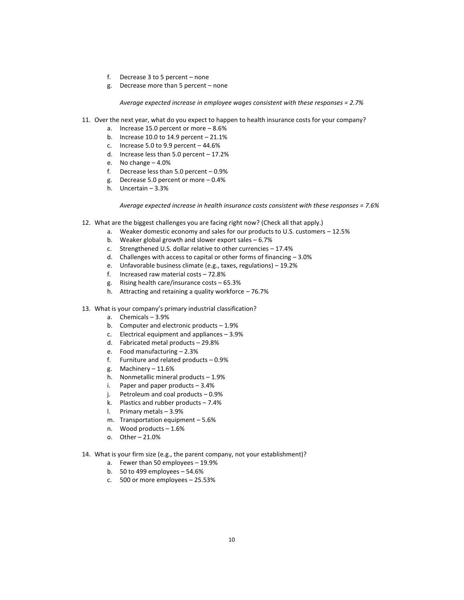- f. Decrease 3 to 5 percent none
- g. Decrease more than 5 percent none

*Average expected increase in employee wages consistent with these responses = 2.7%* 

- 11. Over the next year, what do you expect to happen to health insurance costs for your company?
	- a. Increase 15.0 percent or more 8.6%
	- b. Increase 10.0 to 14.9 percent 21.1%
	- c. Increase 5.0 to 9.9 percent  $-44.6%$
	- d. Increase less than 5.0 percent 17.2%
	- e. No change 4.0%
	- f. Decrease less than 5.0 percent 0.9%
	- g. Decrease 5.0 percent or more 0.4%
	- h. Uncertain 3.3%

*Average expected increase in health insurance costs consistent with these responses = 7.6%* 

- 12. What are the biggest challenges you are facing right now? (Check all that apply.)
	- a. Weaker domestic economy and sales for our products to U.S. customers 12.5%
	- b. Weaker global growth and slower export sales 6.7%
	- c. Strengthened U.S. dollar relative to other currencies 17.4%
	- d. Challenges with access to capital or other forms of financing 3.0%
	- e. Unfavorable business climate (e.g., taxes, regulations) 19.2%
	- f. Increased raw material costs 72.8%
	- g. Rising health care/insurance costs 65.3%
	- h. Attracting and retaining a quality workforce 76.7%
- 13. What is your company's primary industrial classification?
	- a. Chemicals 3.9%
	- b. Computer and electronic products 1.9%
	- c. Electrical equipment and appliances 3.9%
	- d. Fabricated metal products 29.8%
	- e. Food manufacturing 2.3%
	- f. Furniture and related products 0.9%
	- g. Machinery 11.6%
	- h. Nonmetallic mineral products 1.9%
	- i. Paper and paper products 3.4%
	- j. Petroleum and coal products 0.9%
	- k. Plastics and rubber products 7.4%
	- l. Primary metals 3.9%
	- m. Transportation equipment 5.6%
	- n. Wood products 1.6%
	- o. Other 21.0%
- 14. What is your firm size (e.g., the parent company, not your establishment)?
	- a. Fewer than 50 employees 19.9%
	- b. 50 to 499 employees 54.6%
	- c. 500 or more employees 25.53%